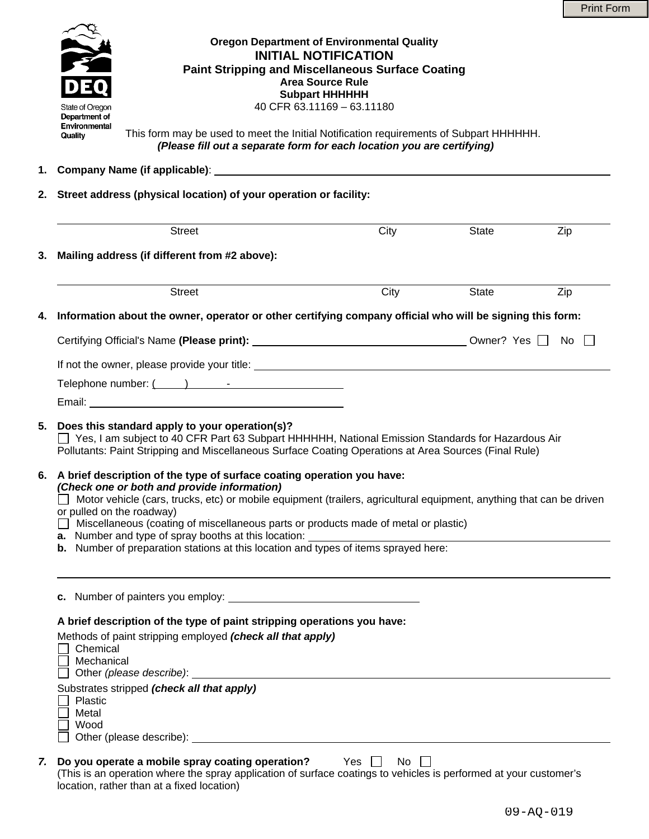

location, rather than at a fixed location)